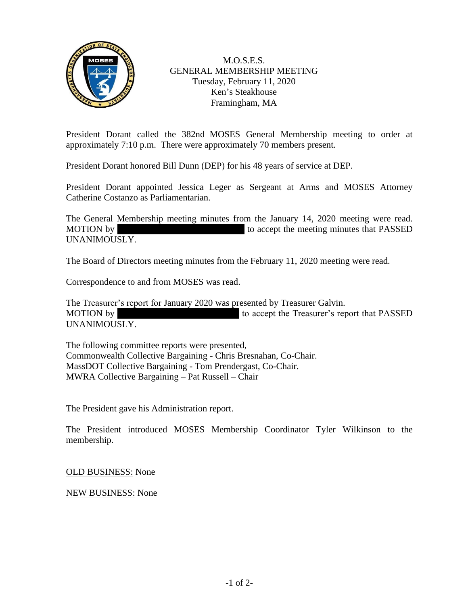

M.O.S.E.S. GENERAL MEMBERSHIP MEETING Tuesday, February 11, 2020 Ken's Steakhouse Framingham, MA

President Dorant called the 382nd MOSES General Membership meeting to order at approximately 7:10 p.m. There were approximately 70 members present.

President Dorant honored Bill Dunn (DEP) for his 48 years of service at DEP.

President Dorant appointed Jessica Leger as Sergeant at Arms and MOSES Attorney Catherine Costanzo as Parliamentarian.

The General Membership meeting minutes from the January 14, 2020 meeting were read. MOTION by Gerry McCullough to accept the meeting minutes that PASSED UNANIMOUSLY.

The Board of Directors meeting minutes from the February 11, 2020 meeting were read.

Correspondence to and from MOSES was read.

The Treasurer's report for January 2020 was presented by Treasurer Galvin. MOTION by Tom Prendergast 10 accept the Treasurer's report that PASSED UNANIMOUSLY.

The following committee reports were presented, Commonwealth Collective Bargaining - Chris Bresnahan, Co-Chair. MassDOT Collective Bargaining - Tom Prendergast, Co-Chair. MWRA Collective Bargaining – Pat Russell – Chair

The President gave his Administration report.

The President introduced MOSES Membership Coordinator Tyler Wilkinson to the membership.

OLD BUSINESS: None

NEW BUSINESS: None